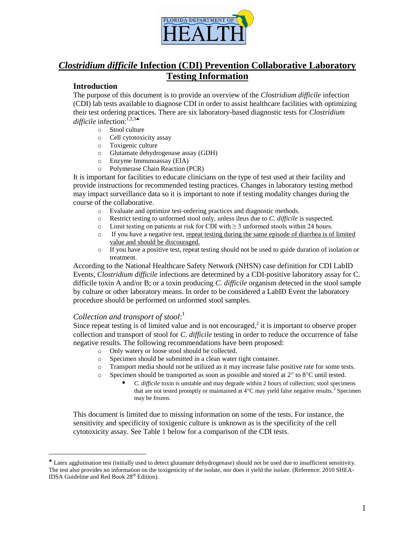

## *Clostridium difficile* **Infection (CDI) Prevention Collaborative Laboratory Testing Information**

## **Introduction**

The purpose of this document is to provide an overview of the *Clostridium difficile* infection (CDI) lab tests available to diagnose CDI in order to assist healthcare facilities with optimizing their test ordering practices. There are six laboratory-based diagnostic tests for *Clostridium difficile* infection:<sup>1,2,3</sup>\*

- o Stool culture
- o Cell cytotoxicity assay
- o Toxigenic culture
- o Glutamate dehydrogenase assay (GDH)
- o Enzyme Immunoassay (EIA)
- o Polymerase Chain Reaction (PCR)

It is important for facilities to educate clinicians on the type of test used at their facility and provide instructions for recommended testing practices. Changes in laboratory testing method may impact surveillance data so it is important to note if testing modality changes during the course of the collaborative.

- o Evaluate and optimize test-ordering practices and diagnostic methods.
- o Restrict testing to unformed stool only, unless ileus due to *C. difficile* is suspected.
- o Limit testing on patients at risk for CDI with  $\geq$  3 unformed stools within 24 hours.
- o If you have a negative test, repeat testing during the same episode of diarrhea is of limited value and should be discouraged.
- o If you have a positive test, repeat testing should not be used to guide duration of isolation or treatment.

According to the National Healthcare Safety Network (NHSN) case definition for CDI LabID Events, *Clostridium difficile* infections are determined by a CDI-positive laboratory assay for C. difficile toxin A and/or B; or a toxin producing *C. difficile* organism detected in the stool sample by culture or other laboratory means. In order to be considered a LabID Event the laboratory procedure should be performed on unformed stool samples.

## *Collection and transport of stool*: 1

 $\overline{a}$ 

Since repeat testing is of limited value and is not encouraged, $2$  it is important to observe proper collection and transport of stool for *C. difficile* testing in order to reduce the occurrence of false negative results. The following recommendations have been proposed:

- o Only watery or loose stool should be collected.
- o Specimen should be submitted in a clean water tight container.
- o Transport media should not be utilized as it may increase false positive rate for some tests.
- $\circ$  Specimen should be transported as soon as possible and stored at 2 $\degree$  to 8 $\degree$ C until tested.
	- *C. difficile* toxin is unstable and may degrade within 2 hours of collection; stool specimens that are not tested promptly or maintained at  $4^{\circ}$ C may yield false negative results.<sup>3</sup> Specimen may be frozen.

This document is limited due to missing information on some of the tests. For instance, the sensitivity and specificity of toxigenic culture is unknown as is the specificity of the cell cytotoxicity assay. See Table 1 below for a comparison of the CDI tests.

Latex agglutination test (initially used to detect glutamate dehydrogenase) should not be used due to insufficient sensitivity. The test also provides no information on the toxigenicity of the isolate, nor does it yield the isolate. (Reference: 2010 SHEA-IDSA Guideline and Red Book 28<sup>th</sup> Edition).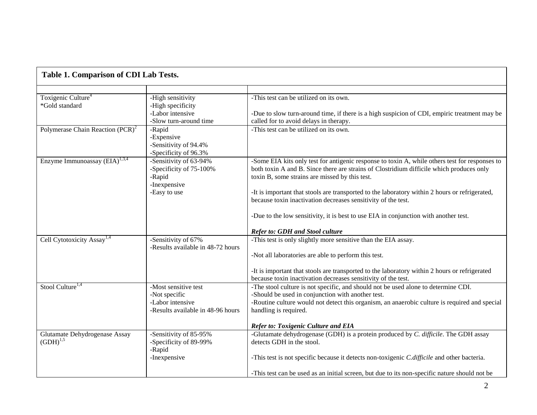| Table 1. Comparison of CDI Lab Tests.            |                                                                             |                                                                                                                                                                                                                                              |
|--------------------------------------------------|-----------------------------------------------------------------------------|----------------------------------------------------------------------------------------------------------------------------------------------------------------------------------------------------------------------------------------------|
|                                                  |                                                                             |                                                                                                                                                                                                                                              |
| Toxigenic Culture <sup>4</sup><br>*Gold standard | -High sensitivity<br>-High specificity                                      | -This test can be utilized on its own.                                                                                                                                                                                                       |
|                                                  | -Labor intensive<br>-Slow turn-around time                                  | -Due to slow turn-around time, if there is a high suspicion of CDI, empiric treatment may be<br>called for to avoid delays in therapy.                                                                                                       |
| Polymerase Chain Reaction (PCR) <sup>2</sup>     | -Rapid<br>-Expensive<br>-Sensitivity of 94.4%<br>-Specificity of 96.3%      | -This test can be utilized on its own.                                                                                                                                                                                                       |
| Enzyme Immunoassay (EIA) <sup>1,3,4</sup>        | -Sensitivity of 63-94%<br>-Specificity of 75-100%<br>-Rapid<br>-Inexpensive | -Some EIA kits only test for antigenic response to toxin A, while others test for responses to<br>both toxin A and B. Since there are strains of Clostridium difficile which produces only<br>toxin B, some strains are missed by this test. |
|                                                  | -Easy to use                                                                | -It is important that stools are transported to the laboratory within 2 hours or refrigerated,<br>because toxin inactivation decreases sensitivity of the test.                                                                              |
|                                                  |                                                                             | -Due to the low sensitivity, it is best to use EIA in conjunction with another test.                                                                                                                                                         |
|                                                  |                                                                             | <b>Refer to: GDH and Stool culture</b>                                                                                                                                                                                                       |
| Cell Cytotoxicity Assay <sup>1,4</sup>           | -Sensitivity of 67%<br>-Results available in 48-72 hours                    | -This test is only slightly more sensitive than the EIA assay.<br>-Not all laboratories are able to perform this test.                                                                                                                       |
|                                                  |                                                                             | -It is important that stools are transported to the laboratory within 2 hours or refrigerated<br>because toxin inactivation decreases sensitivity of the test.                                                                               |
| Stool Culture <sup>1,4</sup>                     | -Most sensitive test<br>-Not specific                                       | -The stool culture is not specific, and should not be used alone to determine CDI.<br>-Should be used in conjunction with another test.                                                                                                      |
|                                                  | -Labor intensive<br>-Results available in 48-96 hours                       | -Routine culture would not detect this organism, an anaerobic culture is required and special<br>handling is required.                                                                                                                       |
|                                                  |                                                                             | <b>Refer to: Toxigenic Culture and EIA</b>                                                                                                                                                                                                   |
| Glutamate Dehydrogenase Assay<br>$(GDH)^{1,5}$   | -Sensitivity of 85-95%<br>-Specificity of 89-99%<br>-Rapid                  | -Glutamate dehydrogenase (GDH) is a protein produced by C. difficile. The GDH assay<br>detects GDH in the stool.                                                                                                                             |
|                                                  | -Inexpensive                                                                | -This test is not specific because it detects non-toxigenic C.difficile and other bacteria.                                                                                                                                                  |
|                                                  |                                                                             | -This test can be used as an initial screen, but due to its non-specific nature should not be                                                                                                                                                |